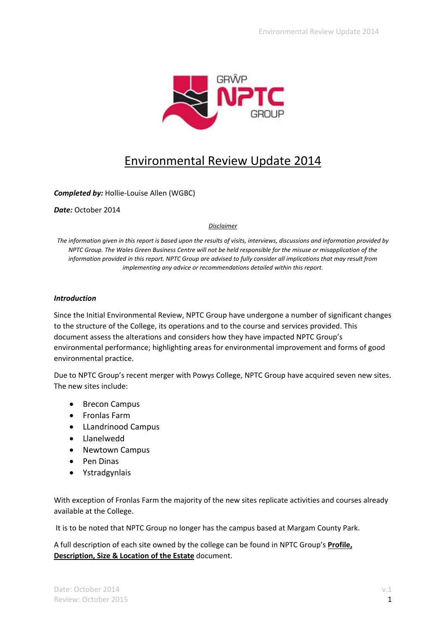

# Environmental Review Update 2014

*Completed by:* Hollie‐Louise Allen (WGBC)

*Date:* October 2014

#### *Disclaimer*

The information given in this report is based upon the results of visits, interviews, discussions and information provided by NPTC Group. The Wales Green Business Centre will not be held responsible for the misuse or misapplication of the information provided in this report. NPTC Group are advised to fully consider all implications that may result from *implementing any advice or recommendations detailed within this report.*

## *Introduction*

Since the Initial Environmental Review, NPTC Group have undergone a number of significant changes to the structure of the College, its operations and to the course and services provided. This document assess the alterations and considers how they have impacted NPTC Group's environmental performance; highlighting areas for environmental improvement and forms of good environmental practice.

Due to NPTC Group's recent merger with Powys College, NPTC Group have acquired seven new sites. The new sites include:

- Brecon Campus
- Fronlas Farm
- LLandrinood Campus
- Llanelwedd
- Newtown Campus
- Pen Dinas
- Ystradgynlais

With exception of Fronlas Farm the majority of the new sites replicate activities and courses already available at the College.

It is to be noted that NPTC Group no longer has the campus based at Margam County Park.

A full description of each site owned by the college can be found in NPTC Group's **Profile, Description, Size & Location of the Estate** document.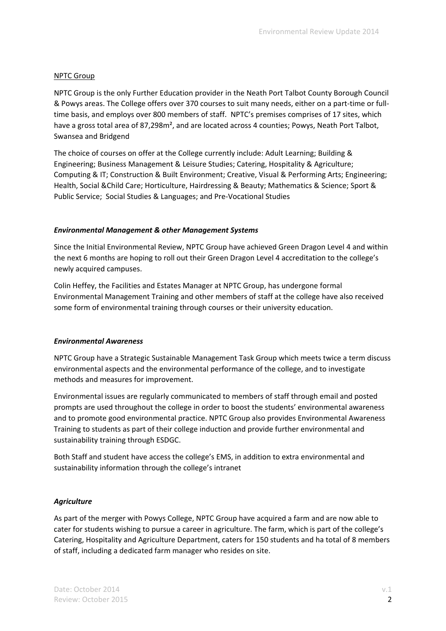## NPTC Group

NPTC Group is the only Further Education provider in the Neath Port Talbot County Borough Council & Powys areas. The College offers over 370 courses to suit many needs, either on a part‐time or full‐ time basis, and employs over 800 members of staff. NPTC's premises comprises of 17 sites, which have a gross total area of 87,298m<sup>2</sup>, and are located across 4 counties; Powys, Neath Port Talbot, Swansea and Bridgend

The choice of courses on offer at the College currently include: Adult Learning; Building & Engineering; Business Management & Leisure Studies; Catering, Hospitality & Agriculture; Computing & IT; Construction & Built Environment; Creative, Visual & Performing Arts; Engineering; Health, Social &Child Care; Horticulture, Hairdressing & Beauty; Mathematics & Science; Sport & Public Service; Social Studies & Languages; and Pre‐Vocational Studies

## *Environmental Management & other Management Systems*

Since the Initial Environmental Review, NPTC Group have achieved Green Dragon Level 4 and within the next 6 months are hoping to roll out their Green Dragon Level 4 accreditation to the college's newly acquired campuses.

Colin Heffey, the Facilities and Estates Manager at NPTC Group, has undergone formal Environmental Management Training and other members of staff at the college have also received some form of environmental training through courses or their university education.

# *Environmental Awareness*

NPTC Group have a Strategic Sustainable Management Task Group which meets twice a term discuss environmental aspects and the environmental performance of the college, and to investigate methods and measures for improvement.

Environmental issues are regularly communicated to members of staff through email and posted prompts are used throughout the college in order to boost the students' environmental awareness and to promote good environmental practice. NPTC Group also provides Environmental Awareness Training to students as part of their college induction and provide further environmental and sustainability training through ESDGC.

Both Staff and student have access the college's EMS, in addition to extra environmental and sustainability information through the college's intranet

# *Agriculture*

As part of the merger with Powys College, NPTC Group have acquired a farm and are now able to cater for students wishing to pursue a career in agriculture. The farm, which is part of the college's Catering, Hospitality and Agriculture Department, caters for 150 students and ha total of 8 members of staff, including a dedicated farm manager who resides on site.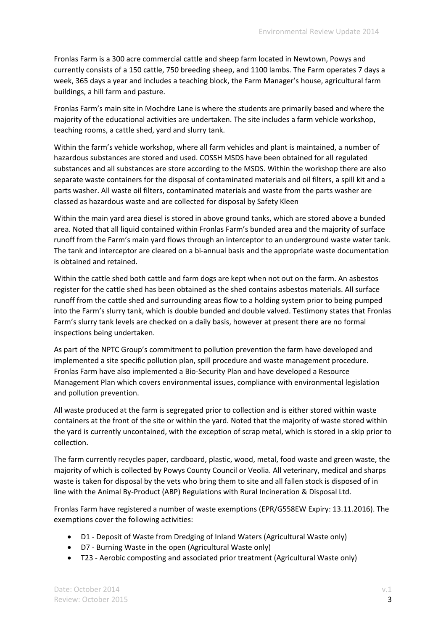Fronlas Farm is a 300 acre commercial cattle and sheep farm located in Newtown, Powys and currently consists of a 150 cattle, 750 breeding sheep, and 1100 lambs. The Farm operates 7 days a week, 365 days a year and includes a teaching block, the Farm Manager's house, agricultural farm buildings, a hill farm and pasture.

Fronlas Farm's main site in Mochdre Lane is where the students are primarily based and where the majority of the educational activities are undertaken. The site includes a farm vehicle workshop, teaching rooms, a cattle shed, yard and slurry tank.

Within the farm's vehicle workshop, where all farm vehicles and plant is maintained, a number of hazardous substances are stored and used. COSSH MSDS have been obtained for all regulated substances and all substances are store according to the MSDS. Within the workshop there are also separate waste containers for the disposal of contaminated materials and oil filters, a spill kit and a parts washer. All waste oil filters, contaminated materials and waste from the parts washer are classed as hazardous waste and are collected for disposal by Safety Kleen

Within the main yard area diesel is stored in above ground tanks, which are stored above a bunded area. Noted that all liquid contained within Fronlas Farm's bunded area and the majority of surface runoff from the Farm's main yard flows through an interceptor to an underground waste water tank. The tank and interceptor are cleared on a bi-annual basis and the appropriate waste documentation is obtained and retained.

Within the cattle shed both cattle and farm dogs are kept when not out on the farm. An asbestos register for the cattle shed has been obtained as the shed contains asbestos materials. All surface runoff from the cattle shed and surrounding areas flow to a holding system prior to being pumped into the Farm's slurry tank, which is double bunded and double valved. Testimony states that Fronlas Farm's slurry tank levels are checked on a daily basis, however at present there are no formal inspections being undertaken.

As part of the NPTC Group's commitment to pollution prevention the farm have developed and implemented a site specific pollution plan, spill procedure and waste management procedure. Fronlas Farm have also implemented a Bio‐Security Plan and have developed a Resource Management Plan which covers environmental issues, compliance with environmental legislation and pollution prevention.

All waste produced at the farm is segregated prior to collection and is either stored within waste containers at the front of the site or within the yard. Noted that the majority of waste stored within the yard is currently uncontained, with the exception of scrap metal, which is stored in a skip prior to collection.

The farm currently recycles paper, cardboard, plastic, wood, metal, food waste and green waste, the majority of which is collected by Powys County Council or Veolia. All veterinary, medical and sharps waste is taken for disposal by the vets who bring them to site and all fallen stock is disposed of in line with the Animal By‐Product (ABP) Regulations with Rural Incineration & Disposal Ltd.

Fronlas Farm have registered a number of waste exemptions (EPR/G558EW Expiry: 13.11.2016). The exemptions cover the following activities:

- D1 Deposit of Waste from Dredging of Inland Waters (Agricultural Waste only)
- D7 ‐ Burning Waste in the open (Agricultural Waste only)
- T23 Aerobic composting and associated prior treatment (Agricultural Waste only)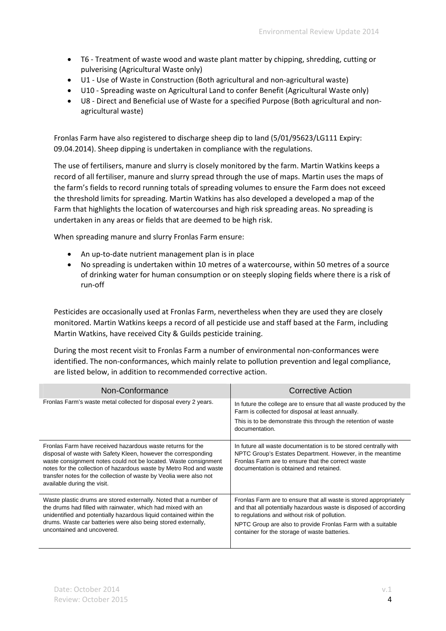- T6 Treatment of waste wood and waste plant matter by chipping, shredding, cutting or pulverising (Agricultural Waste only)
- U1 ‐ Use of Waste in Construction (Both agricultural and non‐agricultural waste)
- U10 Spreading waste on Agricultural Land to confer Benefit (Agricultural Waste only)
- U8 Direct and Beneficial use of Waste for a specified Purpose (Both agricultural and nonagricultural waste)

Fronlas Farm have also registered to discharge sheep dip to land (5/01/95623/LG111 Expiry: 09.04.2014). Sheep dipping is undertaken in compliance with the regulations.

The use of fertilisers, manure and slurry is closely monitored by the farm. Martin Watkins keeps a record of all fertiliser, manure and slurry spread through the use of maps. Martin uses the maps of the farm's fields to record running totals of spreading volumes to ensure the Farm does not exceed the threshold limits for spreading. Martin Watkins has also developed a developed a map of the Farm that highlights the location of watercourses and high risk spreading areas. No spreading is undertaken in any areas or fields that are deemed to be high risk.

When spreading manure and slurry Fronlas Farm ensure:

- An up-to-date nutrient management plan is in place
- No spreading is undertaken within 10 metres of a watercourse, within 50 metres of a source of drinking water for human consumption or on steeply sloping fields where there is a risk of run‐off

Pesticides are occasionally used at Fronlas Farm, nevertheless when they are used they are closely monitored. Martin Watkins keeps a record of all pesticide use and staff based at the Farm, including Martin Watkins, have received City & Guilds pesticide training.

During the most recent visit to Fronlas Farm a number of environmental non‐conformances were identified. The non‐conformances, which mainly relate to pollution prevention and legal compliance, are listed below, in addition to recommended corrective action.

| Non-Conformance                                                                                                                                                                                                                                                                                                                                                            | Corrective Action                                                                                                                                                                                                                                                                                       |
|----------------------------------------------------------------------------------------------------------------------------------------------------------------------------------------------------------------------------------------------------------------------------------------------------------------------------------------------------------------------------|---------------------------------------------------------------------------------------------------------------------------------------------------------------------------------------------------------------------------------------------------------------------------------------------------------|
| Fronlas Farm's waste metal collected for disposal every 2 years.                                                                                                                                                                                                                                                                                                           | In future the college are to ensure that all waste produced by the<br>Farm is collected for disposal at least annually.<br>This is to be demonstrate this through the retention of waste<br>documentation.                                                                                              |
| Fronlas Farm have received hazardous waste returns for the<br>disposal of waste with Safety Kleen, however the corresponding<br>waste consignment notes could not be located. Waste consignment<br>notes for the collection of hazardous waste by Metro Rod and waste<br>transfer notes for the collection of waste by Veolia were also not<br>available during the visit. | In future all waste documentation is to be stored centrally with<br>NPTC Group's Estates Department. However, in the meantime<br>Fronlas Farm are to ensure that the correct waste<br>documentation is obtained and retained.                                                                           |
| Waste plastic drums are stored externally. Noted that a number of<br>the drums had filled with rainwater, which had mixed with an<br>unidentified and potentially hazardous liquid contained within the<br>drums. Waste car batteries were also being stored externally,<br>uncontained and uncovered.                                                                     | Fronlas Farm are to ensure that all waste is stored appropriately<br>and that all potentially hazardous waste is disposed of according<br>to regulations and without risk of pollution.<br>NPTC Group are also to provide Fronlas Farm with a suitable<br>container for the storage of waste batteries. |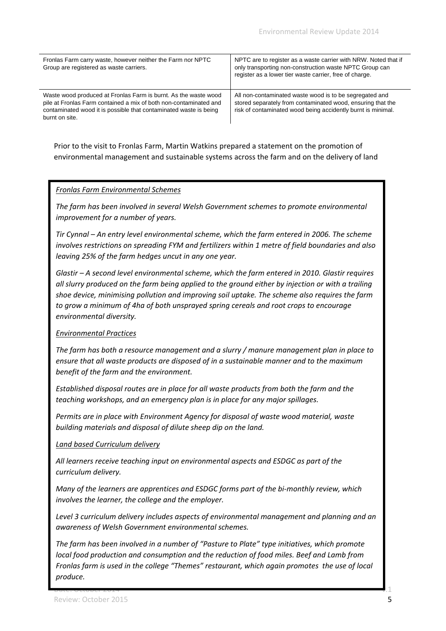| Fronlas Farm carry waste, however neither the Farm nor NPTC<br>Group are registered as waste carriers.                                                                                                                      | NPTC are to register as a waste carrier with NRW. Noted that if<br>only transporting non-construction waste NPTC Group can<br>register as a lower tier waste carrier, free of charge.  |
|-----------------------------------------------------------------------------------------------------------------------------------------------------------------------------------------------------------------------------|----------------------------------------------------------------------------------------------------------------------------------------------------------------------------------------|
| Waste wood produced at Fronlas Farm is burnt. As the waste wood<br>pile at Fronlas Farm contained a mix of both non-contaminated and<br>contaminated wood it is possible that contaminated waste is being<br>burnt on site. | All non-contaminated waste wood is to be segregated and<br>stored separately from contaminated wood, ensuring that the<br>risk of contaminated wood being accidently burnt is minimal. |

Prior to the visit to Fronlas Farm, Martin Watkins prepared a statement on the promotion of environmental management and sustainable systems across the farm and on the delivery of land

#### *Fronlas Farm Environmental Schemes*

*The farm has been involved in several Welsh Government schemes to promote environmental improvement for a number of years.*

*Tir Cynnal – An entry level environmental scheme, which the farm entered in 2006. The scheme involves restrictions on spreading FYM and fertilizers within 1 metre of field boundaries and also leaving 25% of the farm hedges uncut in any one year.* 

*Glastir – A second level environmental scheme, which the farm entered in 2010. Glastir requires all slurry produced on the farm being applied to the ground either by injection or with a trailing shoe device, minimising pollution and improving soil uptake. The scheme also requires the farm to grow a minimum of 4ha of both unsprayed spring cereals and root crops to encourage environmental diversity.*

## *Environmental Practices*

*The farm has both a resource management and a slurry / manure management plan in place to ensure that all waste products are disposed of in a sustainable manner and to the maximum benefit of the farm and the environment.*

*Established disposal routes are in place for all waste products from both the farm and the teaching workshops, and an emergency plan is in place for any major spillages.*

*Permits are in place with Environment Agency for disposal of waste wood material, waste building materials and disposal of dilute sheep dip on the land.*

## *Land based Curriculum delivery*

*All learners receive teaching input on environmental aspects and ESDGC as part of the curriculum delivery.*

*Many of the learners are apprentices and ESDGC forms part of the bi‐monthly review, which involves the learner, the college and the employer.*

*Level 3 curriculum delivery includes aspects of environmental management and planning and an awareness of Welsh Government environmental schemes.*

*The farm has been involved in a number of "Pasture to Plate" type initiatives, which promote local food production and consumption and the reduction of food miles. Beef and Lamb from Fronlas farm is used in the college "Themes" restaurant, which again promotes the use of local produce.*

 $\mathcal{L}$  die op 2014  $\sqrt{1 - \frac{1}{2}}$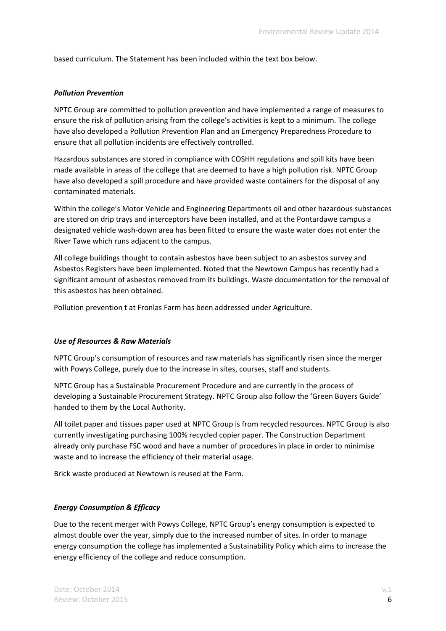based curriculum. The Statement has been included within the text box below.

## *Pollution Prevention*

NPTC Group are committed to pollution prevention and have implemented a range of measures to ensure the risk of pollution arising from the college's activities is kept to a minimum. The college have also developed a Pollution Prevention Plan and an Emergency Preparedness Procedure to ensure that all pollution incidents are effectively controlled.

Hazardous substances are stored in compliance with COSHH regulations and spill kits have been made available in areas of the college that are deemed to have a high pollution risk. NPTC Group have also developed a spill procedure and have provided waste containers for the disposal of any contaminated materials.

Within the college's Motor Vehicle and Engineering Departments oil and other hazardous substances are stored on drip trays and interceptors have been installed, and at the Pontardawe campus a designated vehicle wash‐down area has been fitted to ensure the waste water does not enter the River Tawe which runs adjacent to the campus.

All college buildings thought to contain asbestos have been subject to an asbestos survey and Asbestos Registers have been implemented. Noted that the Newtown Campus has recently had a significant amount of asbestos removed from its buildings. Waste documentation for the removal of this asbestos has been obtained.

Pollution prevention t at Fronlas Farm has been addressed under Agriculture.

# *Use of Resources & Raw Materials*

NPTC Group's consumption of resources and raw materials has significantly risen since the merger with Powys College, purely due to the increase in sites, courses, staff and students.

NPTC Group has a Sustainable Procurement Procedure and are currently in the process of developing a Sustainable Procurement Strategy. NPTC Group also follow the 'Green Buyers Guide' handed to them by the Local Authority.

All toilet paper and tissues paper used at NPTC Group is from recycled resources. NPTC Group is also currently investigating purchasing 100% recycled copier paper. The Construction Department already only purchase FSC wood and have a number of procedures in place in order to minimise waste and to increase the efficiency of their material usage.

Brick waste produced at Newtown is reused at the Farm.

# *Energy Consumption & Efficacy*

Due to the recent merger with Powys College, NPTC Group's energy consumption is expected to almost double over the year, simply due to the increased number of sites. In order to manage energy consumption the college has implemented a Sustainability Policy which aims to increase the energy efficiency of the college and reduce consumption.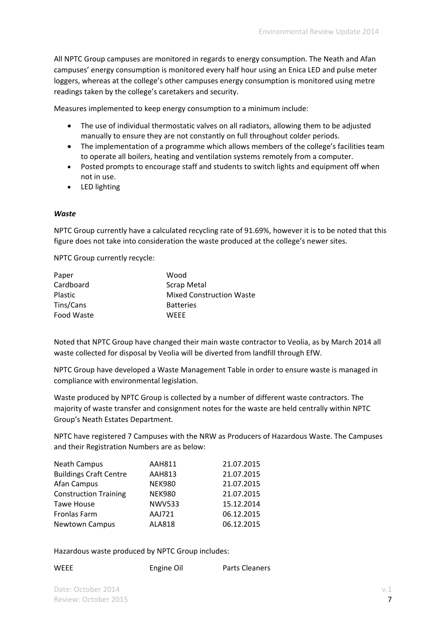All NPTC Group campuses are monitored in regards to energy consumption. The Neath and Afan campuses' energy consumption is monitored every half hour using an Enica LED and pulse meter loggers, whereas at the college's other campuses energy consumption is monitored using metre readings taken by the college's caretakers and security.

Measures implemented to keep energy consumption to a minimum include:

- The use of individual thermostatic valves on all radiators, allowing them to be adjusted manually to ensure they are not constantly on full throughout colder periods.
- The implementation of a programme which allows members of the college's facilities team to operate all boilers, heating and ventilation systems remotely from a computer.
- Posted prompts to encourage staff and students to switch lights and equipment off when not in use.
- LED lighting

## *Waste*

NPTC Group currently have a calculated recycling rate of 91.69%, however it is to be noted that this figure does not take into consideration the waste produced at the college's newer sites.

NPTC Group currently recycle:

| Paper      | Wood                            |
|------------|---------------------------------|
| Cardboard  | <b>Scrap Metal</b>              |
| Plastic    | <b>Mixed Construction Waste</b> |
| Tins/Cans  | <b>Batteries</b>                |
| Food Waste | <b>WFFF</b>                     |

Noted that NPTC Group have changed their main waste contractor to Veolia, as by March 2014 all waste collected for disposal by Veolia will be diverted from landfill through EfW.

NPTC Group have developed a Waste Management Table in order to ensure waste is managed in compliance with environmental legislation.

Waste produced by NPTC Group is collected by a number of different waste contractors. The majority of waste transfer and consignment notes for the waste are held centrally within NPTC Group's Neath Estates Department.

NPTC have registered 7 Campuses with the NRW as Producers of Hazardous Waste. The Campuses and their Registration Numbers are as below:

| <b>Neath Campus</b>           | <b>AAH811</b> | 21.07.2015 |
|-------------------------------|---------------|------------|
| <b>Buildings Craft Centre</b> | <b>AAH813</b> | 21.07.2015 |
| Afan Campus                   | <b>NEK980</b> | 21.07.2015 |
| <b>Construction Training</b>  | <b>NEK980</b> | 21.07.2015 |
| <b>Tawe House</b>             | <b>NWV533</b> | 15.12.2014 |
| Fronlas Farm                  | <b>AAJ721</b> | 06.12.2015 |
| <b>Newtown Campus</b>         | <b>ALA818</b> | 06.12.2015 |

Hazardous waste produced by NPTC Group includes:

| WEEE | Engine Oil | Parts Cleaners |
|------|------------|----------------|
|------|------------|----------------|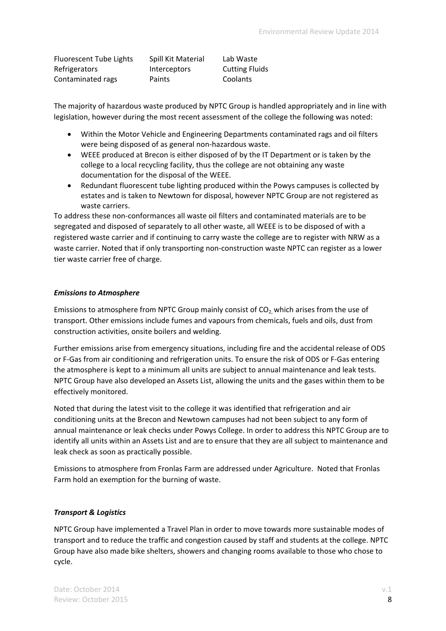| <b>Fluorescent Tube Lights</b> | Spill Kit Material  | Lab Waste             |
|--------------------------------|---------------------|-----------------------|
| Refrigerators                  | <b>Interceptors</b> | <b>Cutting Fluids</b> |
| Contaminated rags              | Paints              | Coolants              |

The majority of hazardous waste produced by NPTC Group is handled appropriately and in line with legislation, however during the most recent assessment of the college the following was noted:

- Within the Motor Vehicle and Engineering Departments contaminated rags and oil filters were being disposed of as general non-hazardous waste.
- WEEE produced at Brecon is either disposed of by the IT Department or is taken by the college to a local recycling facility, thus the college are not obtaining any waste documentation for the disposal of the WEEE.
- Redundant fluorescent tube lighting produced within the Powys campuses is collected by estates and is taken to Newtown for disposal, however NPTC Group are not registered as waste carriers.

To address these non‐conformances all waste oil filters and contaminated materials are to be segregated and disposed of separately to all other waste, all WEEE is to be disposed of with a registered waste carrier and if continuing to carry waste the college are to register with NRW as a waste carrier. Noted that if only transporting non-construction waste NPTC can register as a lower tier waste carrier free of charge.

# *Emissions to Atmosphere*

Emissions to atmosphere from NPTC Group mainly consist of  $CO<sub>2</sub>$  which arises from the use of transport. Other emissions include fumes and vapours from chemicals, fuels and oils, dust from construction activities, onsite boilers and welding.

Further emissions arise from emergency situations, including fire and the accidental release of ODS or F‐Gas from air conditioning and refrigeration units. To ensure the risk of ODS or F‐Gas entering the atmosphere is kept to a minimum all units are subject to annual maintenance and leak tests. NPTC Group have also developed an Assets List, allowing the units and the gases within them to be effectively monitored.

Noted that during the latest visit to the college it was identified that refrigeration and air conditioning units at the Brecon and Newtown campuses had not been subject to any form of annual maintenance or leak checks under Powys College. In order to address this NPTC Group are to identify all units within an Assets List and are to ensure that they are all subject to maintenance and leak check as soon as practically possible.

Emissions to atmosphere from Fronlas Farm are addressed under Agriculture. Noted that Fronlas Farm hold an exemption for the burning of waste.

# *Transport & Logistics*

NPTC Group have implemented a Travel Plan in order to move towards more sustainable modes of transport and to reduce the traffic and congestion caused by staff and students at the college. NPTC Group have also made bike shelters, showers and changing rooms available to those who chose to cycle.